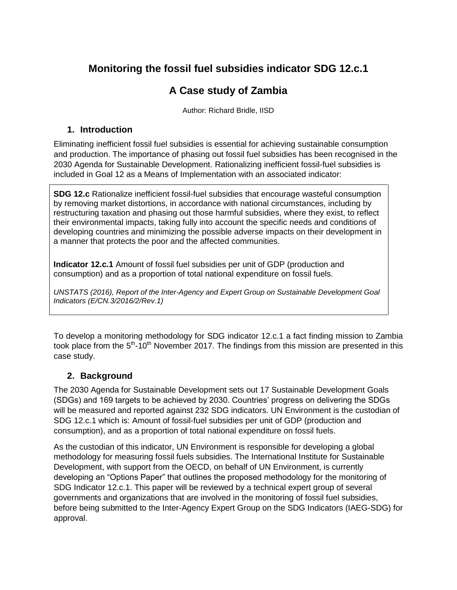## **Monitoring the fossil fuel subsidies indicator SDG 12.c.1**

## **A Case study of Zambia**

Author: Richard Bridle, IISD

## **1. Introduction**

Eliminating inefficient fossil fuel subsidies is essential for achieving sustainable consumption and production. The importance of phasing out fossil fuel subsidies has been recognised in the 2030 Agenda for Sustainable Development. Rationalizing inefficient fossil-fuel subsidies is included in Goal 12 as a Means of Implementation with an associated indicator:

**SDG 12.c** Rationalize inefficient fossil-fuel subsidies that encourage wasteful consumption by removing market distortions, in accordance with national circumstances, including by restructuring taxation and phasing out those harmful subsidies, where they exist, to reflect their environmental impacts, taking fully into account the specific needs and conditions of developing countries and minimizing the possible adverse impacts on their development in a manner that protects the poor and the affected communities.

**Indicator 12.c.1** Amount of fossil fuel subsidies per unit of GDP (production and consumption) and as a proportion of total national expenditure on fossil fuels.

*UNSTATS (2016), Report of the Inter-Agency and Expert Group on Sustainable Development Goal Indicators (E/CN.3/2016/2/Rev.1)*

To develop a monitoring methodology for SDG indicator 12.c.1 a fact finding mission to Zambia took place from the  $5<sup>th</sup>$ -10<sup>th</sup> November 2017. The findings from this mission are presented in this case study.

## **2. Background**

The 2030 Agenda for Sustainable Development sets out 17 Sustainable Development Goals (SDGs) and 169 targets to be achieved by 2030. Countries' progress on delivering the SDGs will be measured and reported against 232 SDG indicators. UN Environment is the custodian of SDG 12.c.1 which is: Amount of fossil-fuel subsidies per unit of GDP (production and consumption), and as a proportion of total national expenditure on fossil fuels.

As the custodian of this indicator, UN Environment is responsible for developing a global methodology for measuring fossil fuels subsidies. The International Institute for Sustainable Development, with support from the OECD, on behalf of UN Environment, is currently developing an "Options Paper" that outlines the proposed methodology for the monitoring of SDG Indicator 12.c.1. This paper will be reviewed by a technical expert group of several governments and organizations that are involved in the monitoring of fossil fuel subsidies, before being submitted to the Inter-Agency Expert Group on the SDG Indicators (IAEG-SDG) for approval.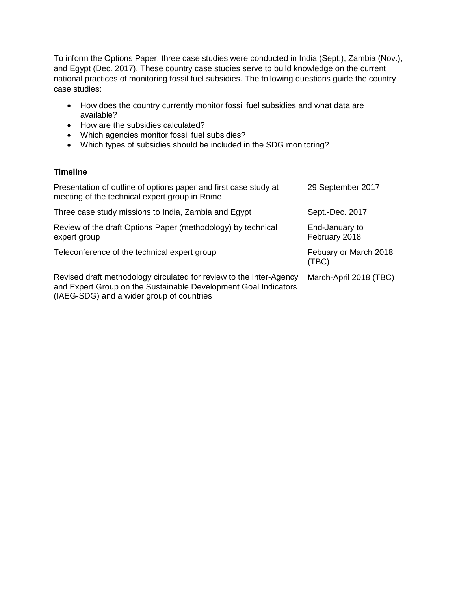To inform the Options Paper, three case studies were conducted in India (Sept.), Zambia (Nov.), and Egypt (Dec. 2017). These country case studies serve to build knowledge on the current national practices of monitoring fossil fuel subsidies. The following questions guide the country case studies:

- How does the country currently monitor fossil fuel subsidies and what data are available?
- How are the subsidies calculated?
- Which agencies monitor fossil fuel subsidies?
- Which types of subsidies should be included in the SDG monitoring?

## **Timeline**

| Presentation of outline of options paper and first case study at<br>meeting of the technical expert group in Rome                      | 29 September 2017               |
|----------------------------------------------------------------------------------------------------------------------------------------|---------------------------------|
| Three case study missions to India, Zambia and Egypt                                                                                   | Sept.-Dec. 2017                 |
| Review of the draft Options Paper (methodology) by technical<br>expert group                                                           | End-January to<br>February 2018 |
| Teleconference of the technical expert group                                                                                           | Febuary or March 2018<br>(TBC)  |
| Revised draft methodology circulated for review to the Inter-Agency<br>and Expert Group on the Sustainable Development Goal Indicators | March-April 2018 (TBC)          |

(IAEG-SDG) and a wider group of countries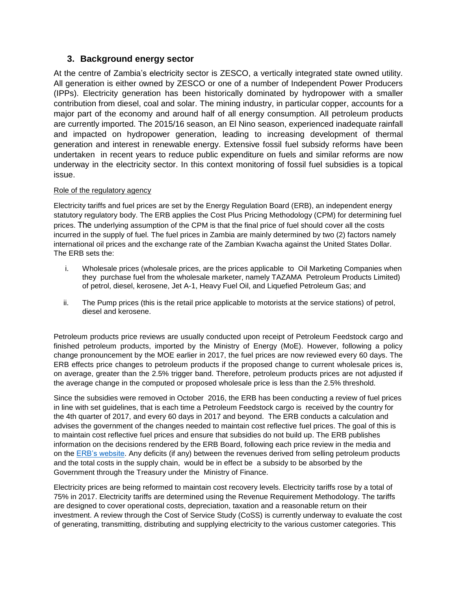## **3. Background energy sector**

At the centre of Zambia's electricity sector is ZESCO, a vertically integrated state owned utility. All generation is either owned by ZESCO or one of a number of Independent Power Producers (IPPs). Electricity generation has been historically dominated by hydropower with a smaller contribution from diesel, coal and solar. The mining industry, in particular copper, accounts for a major part of the economy and around half of all energy consumption. All petroleum products are currently imported. The 2015/16 season, an El Nino season, experienced inadequate rainfall and impacted on hydropower generation, leading to increasing development of thermal generation and interest in renewable energy. Extensive fossil fuel subsidy reforms have been undertaken in recent years to reduce public expenditure on fuels and similar reforms are now underway in the electricity sector. In this context monitoring of fossil fuel subsidies is a topical issue.

#### Role of the regulatory agency

Electricity tariffs and fuel prices are set by the Energy Regulation Board (ERB), an independent energy statutory regulatory body. The ERB applies the Cost Plus Pricing Methodology (CPM) for determining fuel prices. The underlying assumption of the CPM is that the final price of fuel should cover all the costs incurred in the supply of fuel. The fuel prices in Zambia are mainly determined by two (2) factors namely international oil prices and the exchange rate of the Zambian Kwacha against the United States Dollar. The ERB sets the:

- i. Wholesale prices (wholesale prices, are the prices applicable to Oil Marketing Companies when they purchase fuel from the wholesale marketer, namely TAZAMA Petroleum Products Limited) of petrol, diesel, kerosene, Jet A-1, Heavy Fuel Oil, and Liquefied Petroleum Gas; and
- ii. The Pump prices (this is the retail price applicable to motorists at the service stations) of petrol, diesel and kerosene.

Petroleum products price reviews are usually conducted upon receipt of Petroleum Feedstock cargo and finished petroleum products, imported by the Ministry of Energy (MoE). However, following a policy change pronouncement by the MOE earlier in 2017, the fuel prices are now reviewed every 60 days. The ERB effects price changes to petroleum products if the proposed change to current wholesale prices is, on average, greater than the 2.5% trigger band. Therefore, petroleum products prices are not adjusted if the average change in the computed or proposed wholesale price is less than the 2.5% threshold.

Since the subsidies were removed in October 2016, the ERB has been conducting a review of fuel prices in line with set guidelines, that is each time a Petroleum Feedstock cargo is received by the country for the 4th quarter of 2017, and every 60 days in 2017 and beyond. The ERB conducts a calculation and advises the government of the changes needed to maintain cost reflective fuel prices. The goal of this is to maintain cost reflective fuel prices and ensure that subsidies do not build up. The ERB publishes information on the decisions rendered by the ERB Board, following each price review in the media and on the [ERB's website.](http://www.erb.org.zm/pstatements.php) Any deficits (if any) between the revenues derived from selling petroleum products and the total costs in the supply chain, would be in effect be a subsidy to be absorbed by the Government through the Treasury under the Ministry of Finance.

Electricity prices are being reformed to maintain cost recovery levels. Electricity tariffs rose by a total of 75% in 2017. Electricity tariffs are determined using the Revenue Requirement Methodology. The tariffs are designed to cover operational costs, depreciation, taxation and a reasonable return on their investment. A review through the Cost of Service Study (CoSS) is currently underway to evaluate the cost of generating, transmitting, distributing and supplying electricity to the various customer categories. This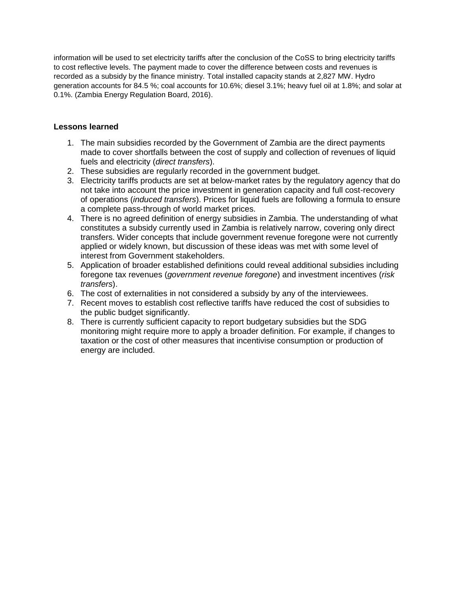information will be used to set electricity tariffs after the conclusion of the CoSS to bring electricity tariffs to cost reflective levels. The payment made to cover the difference between costs and revenues is recorded as a subsidy by the finance ministry. Total installed capacity stands at 2,827 MW. Hydro generation accounts for 84.5 %; coal accounts for 10.6%; diesel 3.1%; heavy fuel oil at 1.8%; and solar at 0.1%. (Zambia Energy Regulation Board, 2016).

## **Lessons learned**

- 1. The main subsidies recorded by the Government of Zambia are the direct payments made to cover shortfalls between the cost of supply and collection of revenues of liquid fuels and electricity (*direct transfers*).
- 2. These subsidies are regularly recorded in the government budget.
- 3. Electricity tariffs products are set at below-market rates by the regulatory agency that do not take into account the price investment in generation capacity and full cost-recovery of operations (*induced transfers*). Prices for liquid fuels are following a formula to ensure a complete pass-through of world market prices.
- 4. There is no agreed definition of energy subsidies in Zambia. The understanding of what constitutes a subsidy currently used in Zambia is relatively narrow, covering only direct transfers. Wider concepts that include government revenue foregone were not currently applied or widely known, but discussion of these ideas was met with some level of interest from Government stakeholders.
- 5. Application of broader established definitions could reveal additional subsidies including foregone tax revenues (*government revenue foregone*) and investment incentives (*risk transfers*).
- 6. The cost of externalities in not considered a subsidy by any of the interviewees.
- 7. Recent moves to establish cost reflective tariffs have reduced the cost of subsidies to the public budget significantly.
- 8. There is currently sufficient capacity to report budgetary subsidies but the SDG monitoring might require more to apply a broader definition. For example, if changes to taxation or the cost of other measures that incentivise consumption or production of energy are included.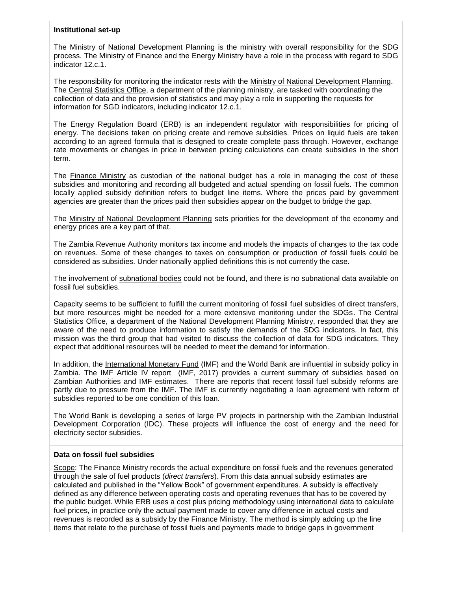#### **Institutional set-up**

The Ministry of National Development Planning is the ministry with overall responsibility for the SDG process. The Ministry of Finance and the Energy Ministry have a role in the process with regard to SDG indicator 12.c.1.

The responsibility for monitoring the indicator rests with the Ministry of National Development Planning. The Central Statistics Office, a department of the planning ministry, are tasked with coordinating the collection of data and the provision of statistics and may play a role in supporting the requests for information for SGD indicators, including indicator 12.c.1.

The Energy Regulation Board (ERB) is an independent regulator with responsibilities for pricing of energy. The decisions taken on pricing create and remove subsidies. Prices on liquid fuels are taken according to an agreed formula that is designed to create complete pass through. However, exchange rate movements or changes in price in between pricing calculations can create subsidies in the short term.

The **Finance Ministry** as custodian of the national budget has a role in managing the cost of these subsidies and monitoring and recording all budgeted and actual spending on fossil fuels. The common locally applied subsidy definition refers to budget line items. Where the prices paid by government agencies are greater than the prices paid then subsidies appear on the budget to bridge the gap.

The Ministry of National Development Planning sets priorities for the development of the economy and energy prices are a key part of that.

The Zambia Revenue Authority monitors tax income and models the impacts of changes to the tax code on revenues. Some of these changes to taxes on consumption or production of fossil fuels could be considered as subsidies. Under nationally applied definitions this is not currently the case.

The involvement of subnational bodies could not be found, and there is no subnational data available on fossil fuel subsidies.

Capacity seems to be sufficient to fulfill the current monitoring of fossil fuel subsidies of direct transfers, but more resources might be needed for a more extensive monitoring under the SDGs. The Central Statistics Office, a department of the National Development Planning Ministry, responded that they are aware of the need to produce information to satisfy the demands of the SDG indicators. In fact, this mission was the third group that had visited to discuss the collection of data for SDG indicators. They expect that additional resources will be needed to meet the demand for information.

In addition, the International Monetary Fund (IMF) and the World Bank are influential in subsidy policy in Zambia. The IMF Article IV report (IMF, 2017) provides a current summary of subsidies based on Zambian Authorities and IMF estimates. There are reports that recent fossil fuel subsidy reforms are partly due to pressure from the IMF. The IMF is currently negotiating a loan agreement with reform of subsidies reported to be one condition of this loan.

The World Bank is developing a series of large PV projects in partnership with the Zambian Industrial Development Corporation (IDC). These projects will influence the cost of energy and the need for electricity sector subsidies.

#### **Data on fossil fuel subsidies**

Scope: The Finance Ministry records the actual expenditure on fossil fuels and the revenues generated through the sale of fuel products (*direct transfers*). From this data annual subsidy estimates are calculated and published in the "Yellow Book" of government expenditures. A subsidy is effectively defined as any difference between operating costs and operating revenues that has to be covered by the public budget. While ERB uses a cost plus pricing methodology using international data to calculate fuel prices, in practice only the actual payment made to cover any difference in actual costs and revenues is recorded as a subsidy by the Finance Ministry. The method is simply adding up the line items that relate to the purchase of fossil fuels and payments made to bridge gaps in government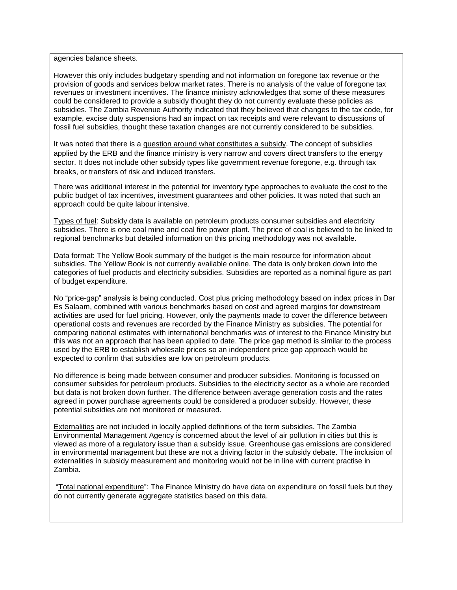agencies balance sheets.

However this only includes budgetary spending and not information on foregone tax revenue or the provision of goods and services below market rates. There is no analysis of the value of foregone tax revenues or investment incentives. The finance ministry acknowledges that some of these measures could be considered to provide a subsidy thought they do not currently evaluate these policies as subsidies. The Zambia Revenue Authority indicated that they believed that changes to the tax code, for example, excise duty suspensions had an impact on tax receipts and were relevant to discussions of fossil fuel subsidies, thought these taxation changes are not currently considered to be subsidies.

It was noted that there is a guestion around what constitutes a subsidy. The concept of subsidies applied by the ERB and the finance ministry is very narrow and covers direct transfers to the energy sector. It does not include other subsidy types like government revenue foregone, e.g. through tax breaks, or transfers of risk and induced transfers.

There was additional interest in the potential for inventory type approaches to evaluate the cost to the public budget of tax incentives, investment guarantees and other policies. It was noted that such an approach could be quite labour intensive.

Types of fuel: Subsidy data is available on petroleum products consumer subsidies and electricity subsidies. There is one coal mine and coal fire power plant. The price of coal is believed to be linked to regional benchmarks but detailed information on this pricing methodology was not available.

Data format: The Yellow Book summary of the budget is the main resource for information about subsidies. The Yellow Book is not currently available online. The data is only broken down into the categories of fuel products and electricity subsidies. Subsidies are reported as a nominal figure as part of budget expenditure.

No "price-gap" analysis is being conducted. Cost plus pricing methodology based on index prices in Dar Es Salaam, combined with various benchmarks based on cost and agreed margins for downstream activities are used for fuel pricing. However, only the payments made to cover the difference between operational costs and revenues are recorded by the Finance Ministry as subsidies. The potential for comparing national estimates with international benchmarks was of interest to the Finance Ministry but this was not an approach that has been applied to date. The price gap method is similar to the process used by the ERB to establish wholesale prices so an independent price gap approach would be expected to confirm that subsidies are low on petroleum products.

No difference is being made between consumer and producer subsidies. Monitoring is focussed on consumer subsides for petroleum products. Subsidies to the electricity sector as a whole are recorded but data is not broken down further. The difference between average generation costs and the rates agreed in power purchase agreements could be considered a producer subsidy. However, these potential subsidies are not monitored or measured.

Externalities are not included in locally applied definitions of the term subsidies. The Zambia Environmental Management Agency is concerned about the level of air pollution in cities but this is viewed as more of a regulatory issue than a subsidy issue. Greenhouse gas emissions are considered in environmental management but these are not a driving factor in the subsidy debate. The inclusion of externalities in subsidy measurement and monitoring would not be in line with current practise in Zambia.

"Total national expenditure": The Finance Ministry do have data on expenditure on fossil fuels but they do not currently generate aggregate statistics based on this data.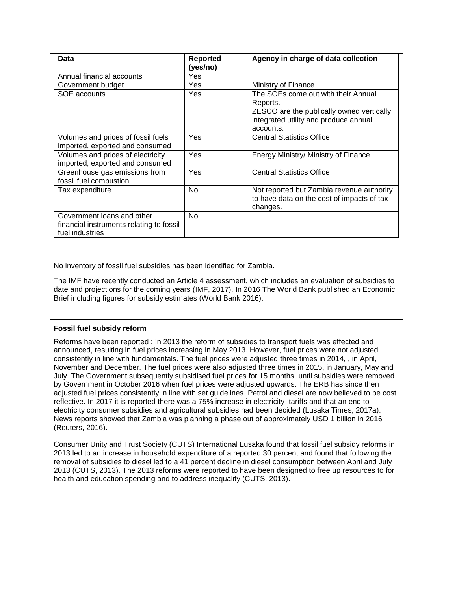| Data                                                                                      | <b>Reported</b><br>(yes/no) | Agency in charge of data collection                                                                                                                |
|-------------------------------------------------------------------------------------------|-----------------------------|----------------------------------------------------------------------------------------------------------------------------------------------------|
| Annual financial accounts                                                                 | Yes                         |                                                                                                                                                    |
| Government budget                                                                         | Yes                         | Ministry of Finance                                                                                                                                |
| SOE accounts                                                                              | Yes                         | The SOEs come out with their Annual<br>Reports.<br>ZESCO are the publically owned vertically<br>integrated utility and produce annual<br>accounts. |
| Volumes and prices of fossil fuels<br>imported, exported and consumed                     | Yes                         | <b>Central Statistics Office</b>                                                                                                                   |
| Volumes and prices of electricity<br>imported, exported and consumed                      | Yes                         | Energy Ministry/ Ministry of Finance                                                                                                               |
| Greenhouse gas emissions from<br>fossil fuel combustion                                   | Yes                         | <b>Central Statistics Office</b>                                                                                                                   |
| Tax expenditure                                                                           | No.                         | Not reported but Zambia revenue authority<br>to have data on the cost of impacts of tax<br>changes.                                                |
| Government loans and other<br>financial instruments relating to fossil<br>fuel industries | No                          |                                                                                                                                                    |

No inventory of fossil fuel subsidies has been identified for Zambia.

The IMF have recently conducted an Article 4 assessment, which includes an evaluation of subsidies to date and projections for the coming years (IMF, 2017). In 2016 The World Bank published an Economic Brief including figures for subsidy estimates (World Bank 2016).

#### **Fossil fuel subsidy reform**

Reforms have been reported : In 2013 the reform of subsidies to transport fuels was effected and announced, resulting in fuel prices increasing in May 2013. However, fuel prices were not adjusted consistently in line with fundamentals. The fuel prices were adjusted three times in 2014, , in April, November and December. The fuel prices were also adjusted three times in 2015, in January, May and July. The Government subsequently subsidised fuel prices for 15 months, until subsidies were removed by Government in October 2016 when fuel prices were adjusted upwards. The ERB has since then adjusted fuel prices consistently in line with set guidelines. Petrol and diesel are now believed to be cost reflective. In 2017 it is reported there was a 75% increase in electricity tariffs and that an end to electricity consumer subsidies and agricultural subsidies had been decided (Lusaka Times, 2017a). News reports showed that Zambia was planning a phase out of approximately USD 1 billion in 2016 (Reuters, 2016).

Consumer Unity and Trust Society (CUTS) International Lusaka found that fossil fuel subsidy reforms in 2013 led to an increase in household expenditure of a reported 30 percent and found that following the removal of subsidies to diesel led to a 41 percent decline in diesel consumption between April and July 2013 (CUTS, 2013). The 2013 reforms were reported to have been designed to free up resources to for health and education spending and to address inequality (CUTS, 2013).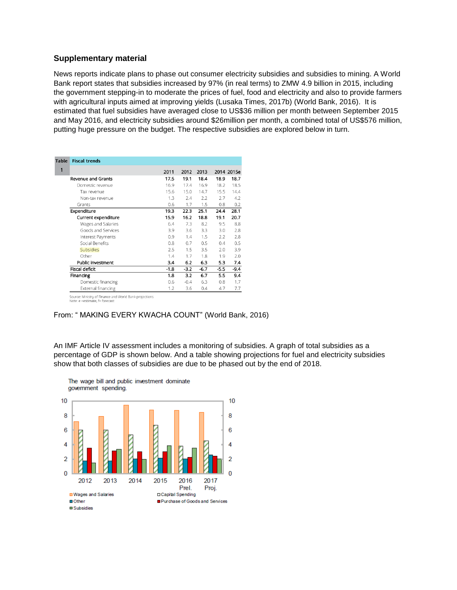#### **Supplementary material**

News reports indicate plans to phase out consumer electricity subsidies and subsidies to mining. A World Bank report states that subsidies increased by 97% (in real terms) to ZMW 4.9 billion in 2015, including the government stepping-in to moderate the prices of fuel, food and electricity and also to provide farmers with agricultural inputs aimed at improving yields (Lusaka Times, 2017b) (World Bank, 2016). It is estimated that fuel subsidies have averaged close to US\$36 million per month between September 2015 and May 2016, and electricity subsidies around \$26million per month, a combined total of US\$576 million, putting huge pressure on the budget. The respective subsidies are explored below in turn.

| <b>Table</b> | <b>Fiscal trends</b>                                   |        |        |        |        |            |
|--------------|--------------------------------------------------------|--------|--------|--------|--------|------------|
| 1            |                                                        | 2011   | 2012   | 2013   |        | 2014 2015e |
|              | <b>Revenue and Grants</b>                              | 17.5   | 19.1   | 18.4   | 18.9   | 18.7       |
|              | Domestic revenue                                       | 16.9   | 17.4   | 16.9   | 18.2   | 18.5       |
|              | Tax revenue                                            | 15.6   | 15.0   | 14.7   | 15.5   | 14.4       |
|              | Non-tax revenue                                        | 1.3    | 2.4    | 2.2    | 2.7    | 4.2        |
|              | Grants                                                 | 0.6    | 1.7    | 1.5    | 0.8    | 0.2        |
|              | Expenditure                                            | 19.3   | 22.3   | 25.1   | 24.4   | 28.1       |
|              | Current expenditure                                    | 15.9   | 16.2   | 18.8   | 19.1   | 20.7       |
|              | Wages and Salaries                                     | 6.4    | 7.3    | 8.2    | 9.5    | 8.8        |
|              | Goods and Services                                     | 3.9    | 3.6    | 3.3    | 3.0    | 2.8        |
|              | Interest Payments                                      | 0.9    | 1.4    | 1.5    | 2.2    | 2.8        |
|              | Social Benefits                                        | 0.8    | 0.7    | 0.5    | 0.4    | 0.5        |
|              | Subsidies                                              | 2.5    | 1.5    | 3.5    | 2.0    | 3.9        |
|              | Other                                                  | 1.4    | 1.7    | 1.8    | 1.9    | 2.0        |
|              | Public investment                                      | 3.4    | 6.2    | 6.3    | 5.3    | 7.4        |
|              | Fiscal deficit                                         | $-1.8$ | $-3.2$ | $-6.7$ | $-5.5$ | $-9.4$     |
|              | Financing                                              | 1.8    | 3.2    | 6.7    | 5.5    | 9.4        |
|              | Domestic financing                                     | 0.6    | $-0.4$ | 6.3    | 0.8    | 1.7        |
|              | External financing                                     | 1.2    | 3.6    | 0.4    | 4.7    | 7.7        |
|              | Source: Ministry of Finance and World Bank projections |        |        |        |        |            |

Note: e =estimate, f= forecast

#### From: " MAKING EVERY KWACHA COUNT" (World Bank, 2016)

An IMF Article IV assessment includes a monitoring of subsidies. A graph of total subsidies as a percentage of GDP is shown below. And a table showing projections for fuel and electricity subsidies show that both classes of subsidies are due to be phased out by the end of 2018.

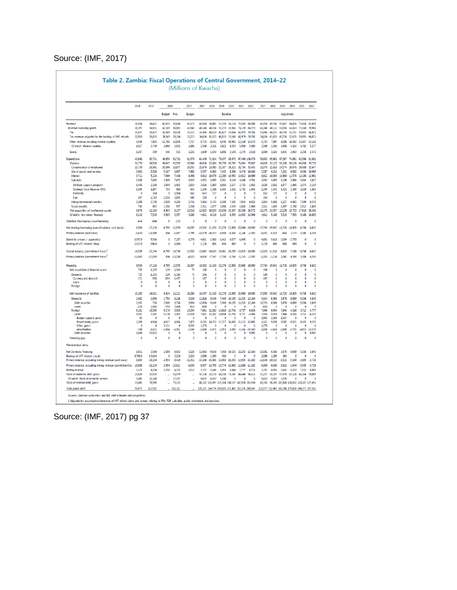## Source: (IMF, 2017)

|                                                                                          | 2014                  | 2015                   | 2016                         |                              | 2017                        | 2017                | 2018                         | 2019                                            | 2020                 | 2021            | 2022                                            | 2017                                            | 2018             | 2019                     | 2020              | 2021                                   | 2022                  |
|------------------------------------------------------------------------------------------|-----------------------|------------------------|------------------------------|------------------------------|-----------------------------|---------------------|------------------------------|-------------------------------------------------|----------------------|-----------------|-------------------------------------------------|-------------------------------------------------|------------------|--------------------------|-------------------|----------------------------------------|-----------------------|
|                                                                                          |                       |                        | Budget Prel.                 |                              | <b>Budget</b>               |                     |                              | <b>Baseline</b>                                 |                      |                 |                                                 |                                                 |                  | Adjustment               |                   |                                        |                       |
| Revenue                                                                                  | 31564                 | 34.421                 | 42.655                       | 39,410                       | 45.171                      | 42.058              | 50485                        |                                                 | 57.159 66.114 76.509 |                 | 86988                                           | 42.058                                          | 49 740           | 55.667                   |                   | 64476 73818                            | 82.459                |
| Revenue excluding grants                                                                 | 30,297                | 34,051                 | 42.109                       | 38,885                       | 42 940                      | 40.248              | 48.834                       | 55.273                                          | 63.966               | 74.139          | 84.370                                          | 40.248                                          | 48 112           | 53.836                   | 62413             | 71.560                                 | 79.986                |
| Tax                                                                                      | 25.837                | 26.437                 | 30.349                       | 28.028                       | 35.213                      | 33,496              | 40.819                       | 45.827                                          | 53.064               | 61.979          | 70.701                                          | 33,496                                          | 40.215           | 44.750                   | 52.151            | 59.893                                 | 66.871                |
| Tax revenues adjusted by the backlog of VAT refunds                                      | 22.910                | 26,833                 | 30,349                       | 29,114                       | 35.213                      | 34,624              | 41,625                       | 46,633                                          | 53,548               | 61,979          | 70.701                                          | 34.624                                          | 41.021           | 45,556                   | 52.635            | 59.893                                 | 66.871                |
| Other revenue, including mineral royalties                                               | 4,460                 | 7,615                  | 11.760                       | 10,856                       | 7,727                       | 6,753               | 8.015                        | 9.446                                           | 10.902               | 12.160          | 13,670                                          | 6,753                                           | 7.897            | 9,086                    | 10.262            | 11.667                                 | 13.116                |
| Of which: Mineral royalties                                                              | 1.617                 | 3.749                  | 2.889                        | 3.053                        | 1.891                       | 2.598               | 3.321                        | 3.922                                           | 4554                 | 5,000           | 5.600                                           | 2.598                                           | 3.260            | 3.688                    | 4.102             | 4.782                                  | 5.277                 |
| Grant                                                                                    | 1,267                 | 369                    | 546                          | 525                          | 2,231                       | 1,809               | 1,650                        | 1,886                                           | 2,148                | 2,370           | 2.618                                           | 1,809                                           | 1,628            | 1,831                    | 2,063             | 2,258                                  | 2,472                 |
| Expenditure                                                                              | 40 640                | 50701                  | 49 450                       | 51.713                       | 61378                       | 61 449              | 71 914                       | 79437                                           | 88970                | 97 469 106 079  |                                                 | 59802                                           | 65.682           | 67387                    | 74 881            | 82566                                  | 91.081                |
| Expense                                                                                  | 31 770                | 38 508                 | 40.647                       | 43555                        | 49360                       | 48.626              | 52.084                       | 56,799                                          | 63763                | 71 084          | 79507                                           | 48.626                                          | 52125            | 54158                    | 59149             | 64 656                                 | 70715                 |
| Compensation of employees                                                                | 15,750<br>5.062       | 16,091<br>5,519        | 20,394<br>5,167              | 18,807<br>4,897              | 20,055<br>7,982             | 21,070<br>5,587     | 23,093<br>6,600              | 25,307<br>7,405                                 | 28,323<br>8.399      | 31,764<br>9,476 | 35,645<br>10.666                                | 21,070<br>5,587                                 | 22,816<br>6,516  | 24,574<br>7,201          | 26,976<br>8.092   | 29,669<br>9,046                        | 32.647<br>10.089      |
| Use of goods and services<br>Interest                                                    | 3,711                 | 5,224                  | 7,099                        | 7,448                        | 8,408                       | 8,812               | 10,876                       | 12,280                                          | 13,550               | 14,812          | 16.699                                          | 8,812                                           | 10,383           | 10,860                   | 11,578            | 12.136                                 | 12,981                |
| Subsidies                                                                                | 3,308                 | 7,083                  | 2,909                        | 7,672                        | 4,929                       | 4,932               | 3.895                        | 3.361                                           | 4.148                | 4,468           | 4,701                                           | 4,932                                           | 4,895            | 3.298                    | 3,480             | 3.694                                  | 3.817                 |
| Fertilizer support program                                                               | 1,456                 | 2.118                  | 1.004                        | 1.902                        | 2.824                       | 2.626               | 1800                         | 1866                                            | 2.537                | 2.703           | 2856                                            | 2.626                                           | 2.826            | 1.877                    | 1980              | 2.074                                  | 2.154                 |
| Strategic Food Reserve (FRA)                                                             | 1,545                 | 1.887                  | 750                          | 910                          | 943                         | 1,294               | 1.368                        | 1.495                                           | 1.611                | 1,765           | 1846                                            | 1.294                                           | 1342             | 1,421                    | 1500              | 1,620                                  | 1.663                 |
| Electricity                                                                              | $\mathbf{0}$          | 364                    | $\Omega$                     | 1.014                        | 662                         | 662                 | 727                          | $\mathbf{0}$                                    | $\mathbf{0}$         | 0               | $\Omega$                                        | 662                                             | 727              | $\mathbf{0}$             | $\mathbf{0}$      | 0                                      | $\mathbf{0}$          |
| Fuel                                                                                     | 307                   | 2,713                  | 1156                         | 3 845                        | 500                         | 350                 | $\Omega$                     | $\mathbf{0}$                                    | $\Omega$             | $\mathbf{0}$    | $\Omega$                                        | 350                                             | $\Omega$         | $\theta$                 | $\Omega$          | $\Omega$                               | $\Omega$              |
| Intergovernmental transfers                                                              | 3.196                 | 3,738                  | 3928                         | 4.195                        | 5.741                       | 5.914               | 5.743                        | 6,388                                           | 7,100                | 7,934           | 8.831                                           | 5.914                                           | 5.668            | 6,227                    | 6,865             | 7,599                                  | 8376                  |
| Social benefits                                                                          | 742<br>8.870          | 852<br>12193           | 1.150<br>8803                | 537<br>8.157                 | 2.246<br>12,018             | 2.311<br>12,823     | 1.877<br>19,830              | 2.058<br>22,638                                 | 2,243<br>25,207      | 2,630<br>26.386 | 2964<br>26,572                                  | 2311<br>11,175                                  | 1.846<br>13.557  | 1.997<br>13,229          | 2.158<br>15.733   | 2.512<br>17.910                        | 2.805<br>20366        |
| Net acquisition of nonfinancial assets<br>Of which: non-donor financed                   | 6.210                 | 7,529                  | 5.565                        | 3.357                        | 4.289                       | 4,611               | 6,216                        | 6,102                                           | 8.359                | 11.092          | 13,908                                          | 4,611                                           | 5,166            | 5,315                    | 7,555             | 9.188                                  | 10.853                |
| <b>Statistical Discrepancy (-overfinancing)</b>                                          | -454                  | $-844$                 | O                            | $-233$                       | 0                           | 0                   | $\mathbf{0}$                 | 0                                               | 0                    | 0               | $\mathbf{0}$                                    | 0                                               | 0                | 0                        | $\mathbf{0}$      | $\mathbf{0}$                           | $\mathbf{0}$          |
| Net lending/borrowing (overall balance, cash basis)                                      | $-9.530$              | $-17.124$              | $-6.795$                     | $-12535$                     | $-16,207$                   |                     |                              | -19,392 -21,429 -22,279 -22,856 -20,960         |                      |                 | $-19090$                                        | -17.744 -15.942 -11.720                         |                  |                          | $-10405$          | $-8.748$                               | $-8622$               |
| Primary balance (cash basis)                                                             | $-5.819$              | $-11.900$              | 304                          | $-5087$                      | $-7.799$                    | $-10.579$           | $-10553$                     | $-998$                                          | $-9306$              | $-6148$         | $-2392$                                         | $-8.931$                                        | $-5559$          | $-860$                   | 1173              | 3.388                                  | 4359                  |
| Domestic arrears (- payments)                                                            | 3937.9                | 5516                   | 0                            | 7.287                        | $-3.276$                    | $-4601$             | $-2.000$                     | $-1412$                                         | $-3077$              | $-1045$         | $\theta$                                        |                                                 | $-4601 - 3618$   | $-2094$                  | $-2733$           | $\theta$                               | $\theta$              |
| Backlog of VAT refunds (flow)                                                            | 2.927.0               | $-396.0$               | O                            | $-1,086$                     | 0                           | $-1.128$            | $-806$                       | .806                                            | $-484$               | $\Omega$        | $\Omega$                                        | $-1.128$                                        | .806             | -806                     | $-484$            | $\Omega$                               | $\Omega$              |
| Overall balance, (commitment basis) <sup>1</sup>                                         | $-16.395$             | $-22.244$              | $-6,795$                     | $-18,736$                    | $-12,930$                   |                     |                              | -13.662 -18.624 -20.061 -19.295 -19.915 -19.090 |                      |                 |                                                 | $-12.015 -11.518$                               |                  | $-8.820$                 | $-7188$           | $-8.748$                               | $-8622$               |
| Primary balance (commitment basis) <sup>1</sup>                                          | $-12683$              | $-17.020$              | 304                          | .11288                       | .4523                       | .4850               | .7747                        | $-7,780$                                        | .5746                | $-5.103$        | .2392                                           | $-3.202$                                        | $-1134$          | 2.041                    | 4390              | 3388                                   | 4359                  |
| Financing                                                                                | 9,530                 | 17.124                 | 6.795                        | 12.535                       | 16,207                      | 19.392              | 21,429                       | 22.279                                          | 22.856               | 20.960          | 19.090                                          | 17.744                                          | 15.942           | 11,720                   | 10.405            | 8.748                                  | 8.622                 |
| Net acquisition of financial assets                                                      | 733                   | $-1,103$               | 129                          | $-1,314$                     | 73                          | 106                 | $\mathbf{0}$                 | $\theta$                                        | n                    | $\Omega$        | $\mathbf{0}$                                    | 106                                             | 0                | $\theta$                 | $\theta$          | $\mathbf{0}$                           | $\mathbf{0}$          |
| <b>Domestic</b>                                                                          | 733                   | $-1,103$               | 129                          | $-1,314$                     | 73                          | 106                 | Ō                            | $\theta$                                        | $\ddot{\mathbf{0}}$  | $\theta$        | $\theta$                                        | 106                                             | $\theta$         | $\theta$                 | O                 | $\theta$                               | $\theta$              |
| <b>Currency and deposits</b>                                                             | 171                   | $-938$                 | -834                         | $-1,437$                     | $\theta$                    | $-167$              | $\mathbf{0}$                 | $\theta$                                        | $\Omega$             | $\Omega$        | $\Omega$                                        | $-167$                                          | $\mathbf 0$      | $\theta$                 | $\mathbf 0$       | $\mathbf{0}$                           | $\theta$              |
| Loans<br>Foreign                                                                         | $\pmb{0}$<br>0        | $\theta$<br>0          | $\mathbf{0}$<br>$\mathbf 0$  | $\theta$<br>0                | 0<br>0                      | $\theta$<br>0       | $\mathbf 0$<br>0             | $\mathbf{0}$<br>0                               | 0<br>0               | 0<br>$\Omega$   | $\bullet$<br>0                                  | $\theta$<br>$\Omega$                            | $\mathbf 0$<br>0 | 0<br>$\theta$            | $\mathbf 0$<br>0  | $\mathbf 0$<br>0                       | $\mathbf{0}$<br>0     |
| Net incurrence of liabilities                                                            | 10,263                | 16,021                 | 6,924                        | 11.221                       | 16,280                      |                     | 19.497 21.429                |                                                 | 22,279 22,856 20,960 |                 | 19.090                                          | 17,850                                          | 15.942           | 11,720                   | 10.405            | 8,748                                  | 8.622                 |
| Domestic                                                                                 | 2082                  | 2.656                  | 1.750                        | 8.216                        | 3.026                       | 11.816              | 9,148                        |                                                 | 7.464 10.155 11.203  |                 | 12164                                           | 9.914                                           | 6588             | 3.876                    | 6.089             | 5.036                                  | 3.845                 |
| <b>Debt securities</b>                                                                   | 2,432                 | 720                    | 2509                         | 4718                         | 3836                        | 12.626              | 9.148                        |                                                 | 7.464 10.155         | 11.203          | 12164                                           | 10724                                           | 6,588            | 3,876                    | 6.089             | 5.036                                  | 3845                  |
| Loans                                                                                    | $-220$                | 2.066                  | $-759$                       | 3.498                        | $-810$                      | $-810$              | $\mathbf{0}$                 | 0                                               | 0                    | 0               | $\mathbf{0}$                                    | $-810$                                          | 0                | 0                        | 0                 | $\mathbf{0}$                           | $\mathbf{0}$          |
| Foreign                                                                                  | 8181                  | 13.365                 | 5.174                        | 3.005                        | 13.254                      | 7.681               | 12.282                       | 14 814 12 701                                   |                      | 9.757           | 6926                                            | 7.936                                           | 9354             | 7,844                    | 4316              | 3.712                                  | 4777                  |
| Loans                                                                                    | 1501<br>93            | 3,342<br>$\Omega$      | 5,174<br>$\Omega$            | 3.005<br>$\Omega$            | 13,254<br>$\Omega$          | 7.681<br>$\sqrt{ }$ | 12.282<br>$\Omega$           | 14.814<br>$\Omega$                              | 12.701<br>$\Omega$   | 9.757<br>n      | $-3.068$<br>$\Omega$                            | 7.936<br>1902                                   | 9.354<br>2.269   | 7.844<br>1.567           | 4316<br>$\Omega$  | 3.712<br>$\Omega$                      | $-4.215$<br>$\Omega$  |
| <b>Budget support, gross</b><br>Project loans, gross                                     | 2.289                 | 4.964                  | 4,017                        | 4.966                        | 7,470                       | 8.215               | 14,753                       | 17,767                                          | 16,680               | 15,123          | 12.491                                          | 6,567                                           | 9,509            | 9,085                    | 8,021             | 8.565                                  | 9,355                 |
| Other, gross                                                                             | $\theta$              | $\theta$               | 3,121                        | $\Omega$                     | 8,033                       | 1,275               | $\mathbf{0}$                 | $\theta$                                        | $\Omega$             | $\theta$        | $\Omega$                                        | 1.275                                           | $\Omega$         | $\theta$                 | $\theta$          | $\theta$                               | $\Omega$              |
| <b>Amortization</b>                                                                      | $-788$                | $-1.621$               | 1964                         | $-1.961$                     | 2.249                       | -1,808              | .2471                        | $-2953$                                         | $-3980$              | $-5,366$        | $-15560$                                        | 1.808<br>$\Omega$                               | $-2.424$         | $-2.808$                 | $-3.705$          | $-4.853$                               | $-13570$              |
| <b>Debt securities</b><br>Financing gap                                                  | 6.680<br>$\mathbf{0}$ | 10,023<br>$\mathbf{0}$ | $\mathbf{0}$<br>$\mathbf{0}$ | $\mathbf{0}$<br>$\mathbf{0}$ | $\mathbf 0$<br>$\mathbf{0}$ | 0<br>$\mathbf{0}$   | $\mathbf{0}$<br>$\mathbf{0}$ | $\mathbf{0}$<br>0                               | $\mathbf{0}$<br>0    | 0<br>Ō          | 9.995<br>$\mathbf{0}$                           | $\mathbf 0$                                     | 0<br>0           | $\mathbf{0}$<br>$\theta$ | 0<br>$\mathbf{0}$ | 0<br>$\mathbf{0}$                      | 8992<br>$\mathbf{0}$  |
| Memorandum items.                                                                        |                       |                        |                              |                              |                             |                     |                              |                                                 |                      |                 |                                                 |                                                 |                  |                          |                   |                                        |                       |
|                                                                                          |                       |                        |                              |                              |                             |                     |                              |                                                 |                      |                 |                                                 |                                                 |                  |                          |                   |                                        |                       |
| <b>Net Domestic Financing</b>                                                            | 1911<br>4.706.0       | 3594<br>4.310.0        | 2584<br>$\mathbf{0}$         | 9.653<br>3.224               | 3.226<br>3.224              | 11983<br>2.096      | 9148<br>1.290                | 7.464<br>484                                    | 10155 11.203<br>0    | 0               | 12164<br>$\mathbf{0}$                           | 10.081<br>2.096                                 | 6588<br>1.290    | 3,876<br>484             | 6.089<br>0        | 5.036<br>0                             | 3.845<br>$\mathbf{0}$ |
| Backlog of VAT refunds (stock)<br>Primary balance, excluding mining revenue (cash basis) | $-8,943$              | $-16,104$              | $-2,954$                     | $-9,420$                     | $-11,311$                   | $-14.286$           |                              | $-15,601 -15,992$                               | $-16.250 - 13.925$   |                 | $-11.102$                                       | $-12,638$                                       | $-10,515$        | $-6,522$                 | $-5,160$          | $-3,945$                               | $-3.726$              |
| Primary balance, excluding mining revenue (commitment ba                                 | $-15,808$             | $-21,224$              | $-2,954$                     | $-15,621$                    | $-8,035$                    | $-8,557$            | $-12,795$                    | $-13,774$                                       | $-12,689$            | $-12,880$       | $-11102$                                        | $-6,909$                                        | $-6,090$         | $-3,622$                 | $-1,944$          | $-3,945$                               | $-3.726$              |
| Mining revenue                                                                           | 3125                  | 4 2 0 4                | 3258                         | 4332                         | 3512                        | 3707                | 5.048                        | 5 9 9 3                                         | 6944                 | 7777            | 8711                                            | 3707                                            | 4956             | 5,662                    | 6333              | 7333                                   | 8085                  |
| Stock of domestic debt, gross                                                            | 25.830                | 33.593                 |                              | 51.979                       | ä,                          | 55.130              | 62.278                       | 68.330                                          | 73.245               | 84.448          | 96.612                                          | 53.227                                          | 56.197           | 57,978                   | 61 1 28           | 66.164                                 | 70.009                |
| Of which: Stock of domestic arrears                                                      | 5.042                 | 10148                  |                              | 17317                        |                             | 8.652               | 6.652                        | 5.240                                           | $\mathbf{0}$         | $\mathbf{0}$    | $\mathbf{0}$                                    | 8.652                                           | 5.033            | 2939                     | $\mathbf{0}$      | $\mathbf{0}$                           | $\mathbf{0}$          |
| Stock of external debt, gross                                                            | 33,643                | 78,989                 |                              | 79,132                       | ă,                          |                     |                              | 80,102 102,497 125,364 148,157 167,928 183,934  |                      |                 |                                                 | 80,350                                          |                  |                          |                   | 96,245 107,808 118,692 128,207 137,491 |                       |
| <b>Total public debt</b>                                                                 | 59.473                | 112.582                |                              | 131.111                      |                             |                     |                              |                                                 |                      |                 | 135,231 164,774 193,695 221,402 252,376 280,547 | 133,577 152,442 165,786 179,820 194,371 207,501 |                  |                          |                   |                                        |                       |

## Table 2. Zambia: Fiscal Operations of Central Government, 2014-22

Source: (IMF, 2017) pg 37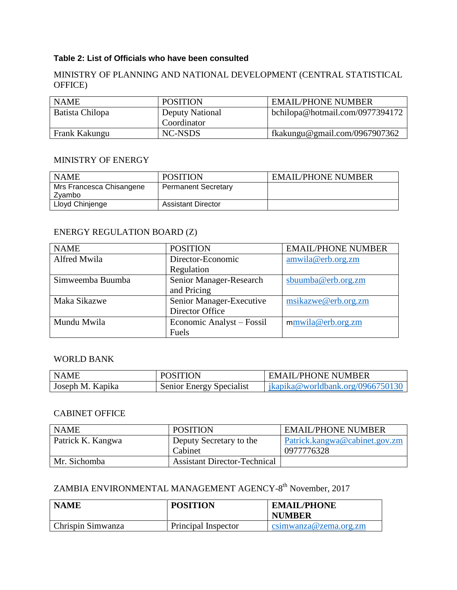## **Table 2: List of Officials who have been consulted**

## MINISTRY OF PLANNING AND NATIONAL DEVELOPMENT (CENTRAL STATISTICAL OFFICE)

| <b>NAME</b>     | <b>POSITION</b>                       | <b>EMAIL/PHONE NUMBER</b>       |
|-----------------|---------------------------------------|---------------------------------|
| Batista Chilopa | <b>Deputy National</b><br>Coordinator | bchilopa@hotmail.com/0977394172 |
| Frank Kakungu   | NC-NSDS                               | fkakungu@gmail.com/0967907362   |

## MINISTRY OF ENERGY

| <b>NAME</b>                        | <b>POSITION</b>            | <b>EMAIL/PHONE NUMBER</b> |
|------------------------------------|----------------------------|---------------------------|
| Mrs Francesca Chisangene<br>Zvambo | <b>Permanent Secretary</b> |                           |
| Lloyd Chinjenge                    | <b>Assistant Director</b>  |                           |

## ENERGY REGULATION BOARD (Z)

| <b>NAME</b>      | <b>POSITION</b>           | <b>EMAIL/PHONE NUMBER</b> |
|------------------|---------------------------|---------------------------|
| Alfred Mwila     | Director-Economic         | amwila@erb.orgzm          |
|                  | Regulation                |                           |
| Simweemba Buumba | Senior Manager-Research   | sbuumba@erb.org.zm        |
|                  | and Pricing               |                           |
| Maka Sikazwe     | Senior Manager-Executive  | msikazwe@erb.org.zm       |
|                  | Director Office           |                           |
| Mundu Mwila      | Economic Analyst – Fossil | mmwila@erb.org.zm         |
|                  | Fuels                     |                           |

## WORLD BANK

| <b>NAME</b>      | <b>POSITION</b>          | EMAIL/PHONE NUMBER                             |
|------------------|--------------------------|------------------------------------------------|
| Joseph M. Kapika | Senior Energy Specialist | $\frac{1}{2}$ jkapika@worldbank.org/0966750130 |

## CABINET OFFICE

| <b>NAME</b>       | <b>POSITION</b>                     | <b>EMAIL/PHONE NUMBER</b>     |
|-------------------|-------------------------------------|-------------------------------|
| Patrick K. Kangwa | Deputy Secretary to the             | Patrick.kangwa@cabinet.gov.zm |
|                   | Cabinet                             | 0977776328                    |
| Mr. Sichomba      | <b>Assistant Director-Technical</b> |                               |

## ZAMBIA ENVIRONMENTAL MANAGEMENT AGENCY-8<sup>th</sup> November, 2017

| <b>NAME</b>       | <b>POSITION</b>     | <b>EMAIL/PHONE</b><br><b>NUMBER</b> |
|-------------------|---------------------|-------------------------------------|
| Chrispin Simwanza | Principal Inspector | csimwanza@zema.org.zm               |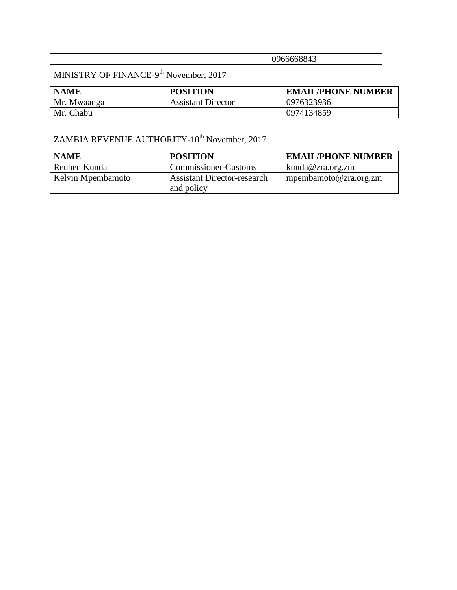## MINISTRY OF FINANCE-9<sup>th</sup> November, 2017

| <b>NAME</b> | <b>POSITION</b>           | <b>EMAIL/PHONE NUMBER</b> |
|-------------|---------------------------|---------------------------|
| Mr. Mwaanga | <b>Assistant Director</b> | 0976323936                |
| Mr. Chabu   |                           | 0974134859                |

# $ZAMBIA REVENUE AUTHORITY-10<sup>th</sup> November, 2017$

| <b>NAME</b>       | <b>POSITION</b>                                  | <b>EMAIL/PHONE NUMBER</b> |
|-------------------|--------------------------------------------------|---------------------------|
| Reuben Kunda      | Commissioner-Customs                             | kunda@zra.org.zm          |
| Kelvin Mpembamoto | <b>Assistant Director-research</b><br>and policy | mpembamoto@zra.org.zm     |